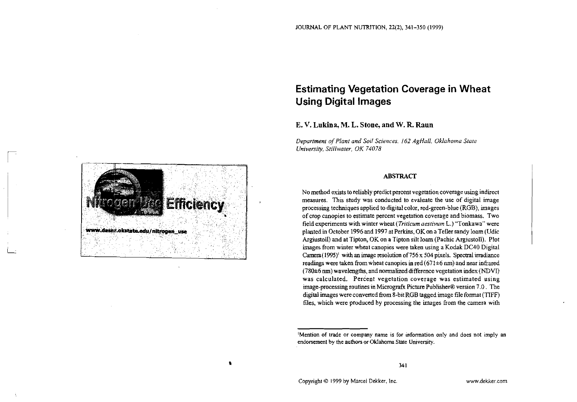# **Estimating Vegetation Coverage in Wheat Using Digital Images**

# **E. V. Lukina,M. L. Stone, and W.R. Raun**

*Departmen1 of Plant and Soil Sciences.* 162 *AgHaN. Oklahoma Stare University, Still~varer, OK 74078* 

### **ABSTRACT**

No method exists to reliably predict percent vegetation coverage using indirect measures. This study was conducted to evaluate the use of digital image processing techniques applied to digital color, red-green-blue (RGB), images of crop canopies to estimate percent vegetation coverage and biomass. Two field experiments with winter wheat *(Triticum aeslivum* L.) "Tonkawa" were planted in October 1996 and 1997 at Perkins, OK on a Teller sandy loam (Udic Argiustoll) and at Tipton, OK on a Tipton silt loam (Pachic Argiustoll). Plot images from winter wheat canopies were taken using a Kodak DC40 Digital Camera (1995)<sup>1</sup> with an image resolution of 756 x 504 pixels. Spectral irradiance readings were taken from wheat canopies in red (671±6 nm) and near infrared (78W6 **nm)** wavelengths, and normalized difference vegetation index (NDVI) was calculated. Percent vegetation coverage was estimated using image-processing routines in Micrografx Picture Publisher8 version 7.0. The digital images were converted from 8-bit RGB tagged image file format (TIFF) files, which were produced by processing the images from the camera with



<sup>&#</sup>x27;Mention of trade or company name is for information only and does not imply an endorsement by the authors or Oklahoma State University.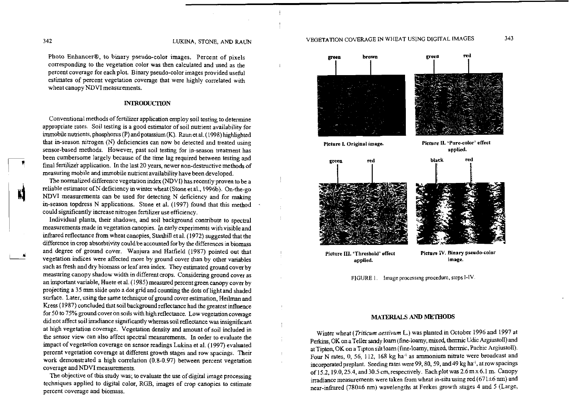Photo Enhancer@, to binary pseudo-color images. Percent of pixels corresponding to the vegetation color was then calculated and used as the percent coverage for each plot. Binary pseudo-color images provided useful estimates of percent vegetation coverage that were highly correlated with wheat canopy NDVI measurements.

#### **INTRODUCTION**

Conventional methods of fertilizer application employ soil testing to determine appropriate rates. Soil testing is a good estimator of soil nutrient availability for immobile nutrients, phosphorus  $(P)$  and potassium  $(K)$ . Raun et al. (1998) highlighted that in-season nitrogen (N) deficiencies can now be detected and treated using sensor-based methods. However, past soil testing for in-season treatment has been cumbersome largely because of the time lag required between testing and final fertilizer application. In the last 20 years, newer non-destructive methods of measuring mobile and immobile nutrient availability have been developed.

The normalized difference vegetation index (NDVI) has recently proven to be a reliable estimator of N deficiency in winter wheat (Stone et al., 1996b). On-the-go<br>NDVI measurements can be used for detecting N deficiency and for making<br>in season tondress N applications. Stone at al. (1997) found that in-season topdress N applications. Stone et al. (1997) found that this method could significantly increase nitrogen fertilizer use efficiency.

Individual plants, their shadows, and soil background contribute to spectral measurements made in vegetation canopies. In early experiments with visible and infrared reflectance from wheat canopies, Stanhill et al. (1972) suggested that the difference in crop absorbtivity could be accounted for by the differences in biomass and degree of ground cover. Wanjura and Hatfield (1987) pointed out that vegetation indices were affected more by ground cover than by other variables such as fresh and dry biomass or leaf area index. They estimated ground cover by measuring canopy shadow width in different crops. Considering ground cover as an important variable, Huete et al. ( 1985) measured percent green canopy cover by projecting a 35 mm slide onto a dot grid and counting the dots of light and shaded surface. Later, using the same technique of ground cover estimation, Heilman and Kress ( 1987) concluded that soil background reflectance had the greatest influence for 50 to 75% ground cover on soils with high reflectance. Low vegetation coverage didnot affect soil irradiance significantly whereas soil reflectance was insignificant at high vegetation coverage. Vegetation density and amount of soil included in the sensor view can also affect spectral measurements. In order to evaluate the impact of vegetation coverage on sensor readings Lukina et al. (1997) evaluated percent vegetation coverage at different growth stages and row spacings. Their work demonstrated a high correlation (0.8-0.97) between percent vegetation coverage andNDVI measurements.

The objective of this study was; to evaluate the use of digital image processing techniques applied to digital color, RGB, images of crop canopies to estimate percent coverage and biomass.



applied.

 $\mathbf{1}$ 

÷

 $\pm$  $\bar{1}$ 

Picture III. 'Threshold' effect Picture IV. Binary pseudo-color<br>applied. image.

FIGURE I. Image processing procedure, steps I-IV

#### **MATERIALS AND METHODS**

Winter wheat (Triticum aesrivum L.) was planted in October 1996 and 1997 at Perkins, OK on a Teller sandy loam (fine-loamy, mixed, thermic Udic Argiustoll) and at Tipton, OK on a Tipton silt loam (fine-loamy, mixed, thermic, Pachic Argiustoll). Four N rates, 0, 56, 112, 168 kg ha<sup>-1</sup> as ammonium nitrate were broadcast and incorporated preplant. Seeding rates were 99, 80, 59, and 49 kg ha<sup>-1</sup>, at row spacings of  $15.2$ ,  $19.0$ ,  $25.4$ , and  $30.5$  cm, respectively. Each plot was  $2.6$  m x  $6.1$  m. Canopy irradiance measurements were taken from wheat in-situ using red (671 $\pm$ 6 nm) and near-infrared (780 $\pm$ 6 nm) wavelengths at Feekes growth stages 4 and 5 (Large,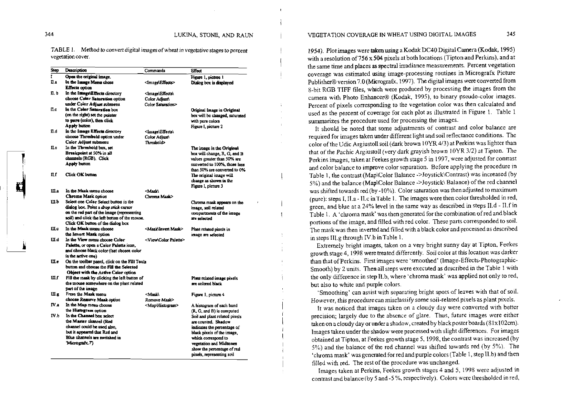$\mathbf{I}$ 

TABLE 1. Method to convert digital images of wheat in vegetative stages to percent vegetation cover.

| <b>Step</b> | Description                                                                    | Commands                                            | Effect                                    |
|-------------|--------------------------------------------------------------------------------|-----------------------------------------------------|-------------------------------------------|
| T           | Open the original image.                                                       |                                                     | Figure 1, picture 1                       |
| П.а         | In the Image Menu chose                                                        | <image\effects></image\effects>                     | Dialog box is displayed                   |
|             | <b>Effecta</b> option                                                          |                                                     |                                           |
| 11. b       | In the Image\Effects directory                                                 | <lmage\effects\< td=""><td></td></lmage\effects\<>  |                                           |
|             | choose Color Saturation option                                                 | Color Adiust\                                       |                                           |
|             | under Color Adjust submenu                                                     | Color Saturation>                                   |                                           |
| Пc          | In the Color Saturation box                                                    |                                                     | Original Image in Original                |
|             | (on the right) set the pointer                                                 |                                                     | box will be changed, saturated            |
|             | to pure (color), then click                                                    |                                                     | with pure colors                          |
|             | Apply button                                                                   |                                                     | Figure I, picture 2                       |
| П.d         | In the Image Effects directory                                                 | <image\effects\< td=""><td></td></image\effects\<>  |                                           |
|             | choose Threshold option under                                                  | Color Adjust                                        |                                           |
|             | Color Adjust submenu                                                           | Threshold>                                          |                                           |
| П.с         | In the Threshold box, set                                                      |                                                     | The image in the Original                 |
|             | Breakpoint at 50% in all                                                       |                                                     | box will change, R, G, and B              |
|             | channels (RGB). Click                                                          |                                                     | values greater than 50% are               |
|             | Apply button                                                                   |                                                     | converted to 100%, those less             |
| Пf<br>Ш.а   |                                                                                |                                                     | than 50% are converted to 0%              |
|             | Click OK button                                                                |                                                     | The original image will                   |
|             |                                                                                |                                                     | change as shown in the                    |
|             |                                                                                |                                                     | Figure I, picture 3                       |
|             | In the Mask menu choose                                                        | <mask\< td=""><td></td></mask\<>                    |                                           |
| Ш.Ь         | Chroma Mask option                                                             | Chroma Mask>                                        |                                           |
|             | Select one Color Select button in the<br>dialog box. Point a drop stick cursor |                                                     | Chroma mask appears on the                |
|             | on the red part of the image (representing                                     |                                                     | image, soil related                       |
|             | soil) and click the left button of the mouse.                                  |                                                     | compartments of the image<br>are selected |
|             | Click OK button of the dialog box                                              |                                                     |                                           |
| Шc          | In the Mask menu choose                                                        | <mask\invert mask=""></mask\invert>                 | Plant related pixels in                   |
|             | the Invert Mask option                                                         |                                                     | image are selected                        |
| UI.d        | In the View menu choose Color                                                  | <viewcolor palette=""></viewcolor>                  |                                           |
|             | Palette, or open a Color Palette icon.                                         |                                                     |                                           |
|             | and choose black color (last chosen color                                      |                                                     |                                           |
|             | is the active one)                                                             |                                                     |                                           |
| Ш.е         | On the toolbar panel, click on the Fill Tools                                  |                                                     |                                           |
|             | button and choose the Fill the Selected                                        |                                                     |                                           |
|             | Object with the Active Color option                                            |                                                     |                                           |
| Шf          | Fill the mask by clicking the left button of                                   |                                                     | Plant related image pixels                |
|             | the mouse somewhere on the plant related                                       |                                                     | are colored black                         |
|             | part of the image                                                              |                                                     |                                           |
| Ш.g<br>IV.a | From the Mask menu                                                             | <mask\< td=""><td>Figure 1, picture 4</td></mask\<> | Figure 1, picture 4                       |
|             | choose Remove Mask option                                                      | Remove Mask>                                        |                                           |
|             | In the Map menu choose                                                         | <map\historram></map\historram>                     | A histogram of each band                  |
|             | the Histogram option                                                           |                                                     | (R, G, and B) is computed                 |
| IV.b        | In the Channel box select                                                      |                                                     | Soil and plant related pixels             |
|             | the Master channel (Red                                                        |                                                     | are counted. Shadow                       |
|             | channel could be used also.                                                    |                                                     | indicates the percentage of               |
|             | but it appeared that Red and                                                   |                                                     | black pixels of the image.                |
|             | Blue channels are switched in                                                  |                                                     | which correspond to                       |
|             | 'Micrografy.7')                                                                |                                                     | vegetation and Midtones                   |
|             |                                                                                |                                                     | show the percentage of red                |
|             |                                                                                |                                                     | pixels, representing soil                 |

#### VEGETATION COVERAGE IN WHEAT USING DIGITAL IMAGES 345

1954). Plot images were taken using a Kodak DC40 Digital Camera (Kodak, 1995) with a resolution of 756 x 504 pixels at both locations (Tipton and Perkins), and at the same time and places as spectral irradiance measurements. Percent vegetation coverage was estimated using image-processing routines in Micrografx Picture Publisher® version 7.0 (Micrografx, 1997). The digital images were converted from 8-bit RGB TIFF files, which were produced by processing the images from the camera with Photo Enhancer® (Kodak, 1995), to binary pseudo-color images. Percent of pixels corresponding to the vegetation color was then calculated and used as the percent of coverage for each plot as illustrated in Figure 1. Table 1 summarizes the procedure used for processing the images.

It should be noted that some adjustments of contrast and color balance are required for images taken under different light and soil reflectance conditions. The color of the Udic Argiustoll soil (dark brown 10YR 4/3) at Perkins was lighter than that of the Pachic Argiustoll (very dark grayish brown 10YR 3/2) at Tipton. The Perkins images, taken at Feekes growth stage 5 in 1997, were adjusted for contrast and color balance to improve color separation. Before applying the procedure in Table 1, the contrast (Map\Color Balance ->Joystick\Contrast) was increased (by 5%) and the balance (Map\Color Balance ->Joystick\ Balance) of the red channel was shifted towards red (by -10%). Color saturation was then adjusted to maximum (pure): steps I, II.a - II.c in Table 1. The images were then color thresholded in red, green, and blue at a 24% level in the same way as described in steps II.d - II.f in Table 1. A 'chroma mask' was then generated for the combination of red and black portions of the image, and filled with red color. These parts corresponded to soil. The mask was then inverted and filled with a black color and processed as described in steps III.g through IV.b in Table 1.

Extremely bright images, taken on a very bright sunny day at Tipton, Feekes growth stage 4, 1998 were treated differently. Soil color at this location was darker than that of Perkins. First images were 'smoothed' (Image-Effects-Photographic-Smooth) by 2 units. Then all steps were executed as described in the Table 1 with the only difference in step II.b, where 'chroma mask' was applied not only to red, but also to white and purple colors.

'Smoothing' can assist with separating bright spots of leaves with that of soil. However, this procedure can misclassify some soil-related pixels as plant pixels.

It was noticed that images taken on a cloudy day were converted with better precision; largely due to the absence of glare. Thus, future images were either taken on a cloudy day or under a shadow, created by black poster boards (81x102cm). Images taken under the shadow were processed with slight differences. For images obtained at Tipton, at Feekes growth stage 5, 1998, the contrast was increased (by 5%) and the balance of the red channel was shifted towards red (by 5%). The 'chroma mask' was generated for red and purple colors (Table 1, step II.b) and then filled with red. The rest of the procedure was unchanged.

Images taken at Perkins, Feekes growth stages 4 and 5, 1998 were adjusted in contrast and balance (by 5 and -5%, respectively). Colors were thresholded in red,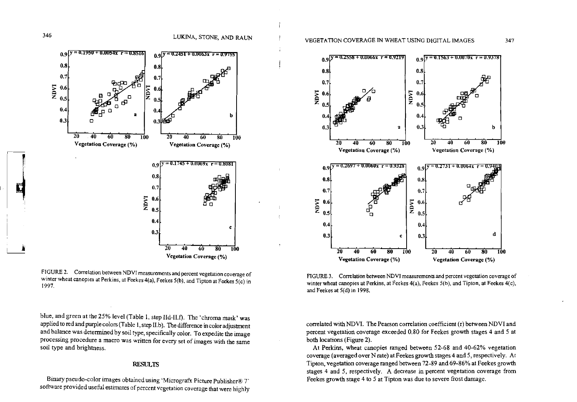

FIGURE 3. Correlation between NDVI measurements and percent vegetation coverage of winter wheat canopies at Perkins, at Feekes 4(a), Feekes 5(b), and Tipton, at Feekes 4(c), and Feekes at 5(d) in 1998.

correlated with NDVI. The Pearson correlation coefficient (r) between NDVI and percent vegetation coverage exceeded 0.80 for Feekes growth stages 4 and 5 at both locations (Figure 2).

At Perkins, wheat canopies ranged between 52-68 and 40-62% vegetation coverage (averaged over N rate) at Feekes growth stages 4 and 5, respectively. At Tipton, vegetation coverage ranged between 72-89 and 69-86% at Feekes growth stages 4 and 5, respectively. A decrease in percent vegetation coverage from Feekes growth stage 4 to 5 at Tipton was due to severe frost damage.



Vegetation Coverage (%)

FIGURE 2. Correlation between NDVI measurements and percent vegetation coverage of winter wheat canopies at Perkins, at Feekes 4(a), Feekes 5(b), and Tipton at Feekes 5(c) in 1997.

blue, and green at the 25% level (Table 1, step IId-II.f). The 'chroma mask' was applied to red and purple colors (Table 1, step II.b). The difference in color adjustment and balance was determined by soil type, specifically color. To expedite the image processing procedure a macro was written for every set of images with the same soil type and brightness.

## **RESULTS**

Binary pseudo-color images obtained using 'Micrografx Picture Publisher® 7' software provided useful estimates of percent vegetation coverage that were highly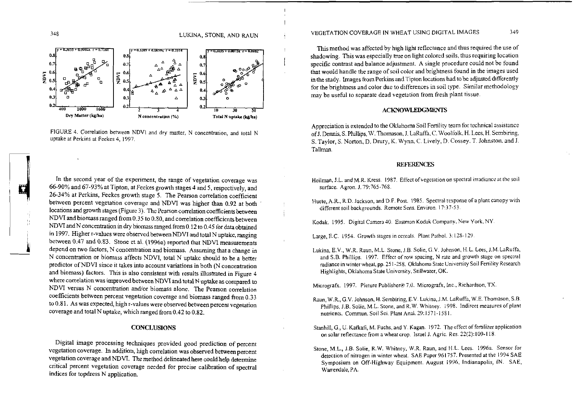

 $\mathbf{a}$ 

 $0.3$ 

 $0.2$ 



 $0.8$ 



In the second year of the experiment, the range of vegetation coverage was ! 66-90% and 67-93% at Tipton. atFeekes growth stages **4** and5, respectively, and <sup>1</sup>26.34% at Perkins, Feekes growth stage 5. The Pearson correlation coefficient between percent vegetation coverage and NDVI was higher than 0.92 at both locations and growth stages (Figure 3). The Pearson correlation coefficients between NDVI and biomass ranged from 0.35 to 0.80, and correlation coefficients between NDVI and N concentration in dry biomass ranged from 0.12 to 0.45 for data obtained in 1997. Higher r-values were observed between NDVI and total Nuptake, ranging between 0.47 and 0.83. Stone et al. (1996a) reported that NDVI measurements depend on two factors, N concentration and biomass. Assuming that a between percent vegetation coverage and NDVI was higher than 0.92 at both locations and growth stages (Figure 3). The Pearson correlation coefficients between NDVI and biomass ranged from 0.35 to 0.80, and correlation coef N concentration or biomass affects NDVI, total N uptakc should to be a better predictor of NDVI since it takes into account variations in both (N concentration and biomass) factors. This is also consistent with results illustrated **in** Figure 4 where correlation was improved between NDVI and total N uptake as compared to NDVI versus N concentration and/or biomass alone. The Pearson correlation coefficients between percent vegetation coverage and biomass ranged from 0.33 to 0.81. As was expected, high r-values were observed between percent vegetation coverage and total N uptake, which ranged from 0.42 to 0.82.

#### **CONCLUSIONS**

Digital image processing techniques provided good prediction of percent vegetation coverage. In addition, high correlation was observed between percent vegetation coverage and NDVI. The method delineated here could help determine critical percent vegetation coverage needed for precise calibration of spectral indices for topdress N application.

VEGETATION COVERAGE IN WHEAT USING DIGITAL IMAGES 349

I

This method was affected by high light reflectance and thus required the use of shadowing. This was especially true on light colored soils, thus requiring location specific contrast and balance adjustment. A single procedure could not be found that would handle the range of soil color and brightness found in the images used in the study. Images from Perkins and Tipton locations had to be adjusted differently for the brightness and color due to differences in soil type. Similar merhodology may be useful to separate dead vegetation from fresh plant tissue.

#### **ACKNOWLEDGMENTS**

Appreciation is extended to the Oklahoma Soil Fertility team for technical assistance ofJ. Dennis, S. Phllips, W. Thomason, J. LaRuffa. C. Woolfolk. H. Lees. H. Sembinng, S.Taylor, S. Norton. D. Drury, K. Wynn,C. Lively, D. Cossey. T. Johnston. and J. Tallman.

#### **REFERENCES**

- Heilman, J.L. and M.R. Kress. 1987. Effect of vegetation on spectral irradiance at the soil surface. Agron. J. 79:765-768.
- Huete, A.R., R.D. Jackson, and D.F. Post. 1985. Spectral response of a plant canopy with different soil backgrounds. Remote Sens. Environ. 17:37-53.

Kodak. 1995. Digital Camera 40. Eastman Kodak Company, New York, NY.

Large, E.C. 1954. Growth stages in ccreols. Plant Pathol. 3: 128-129

Lukina, E.V., W.R. Raun, M.L. Stone, J.B. Solie, G.V. Johnson, H.L. Lees, J.M.LaRuffa, and S.B. Phillips. 1997. Effect of row spacing, N rate and growth stage on spectral radiance in winter wheat, pp. 25 1-258. Oklahoma State Untversity Soil Fertility Research Highlights, OkiahomaState University, Stillwater, OK.

Micrografx. 1997. Pieture Publisher® 7.0. Micrografx, Inc., Richardson, TX.

- Raun, W.R., G.V. Johnson, H. Sembiring, E.V. Lukina, J.M. LaRuffa, W.E. Thomason, S.B. Phillips, J.B. Solie, M.L. Stone, and R.W. Whitney. 1998. Indirect measures of plant nutrients. Commun. Soil Sei. Plant Anal. 29:1571-1581.
- Stanhill, G., U. Kafkafi, M. Fuchs, and Y. Kagan. 1972. The effect of fertilizer application on solar reflectance from a wheat crop, Israel J. Agric. Res. 22(2):109-118.
- Stone, M.L., J.B. Solie, R.W. Whifney, W.R. Raun, and H.L. Lees. 1996a. Sensor for detection of nitrogen in winter wheat. SAE Poper 961757. Presented at the 1904 SAE Symposium on Off-Highway Equipment. August 1996, Indianapolis, IN. SAE, Warrendale, PA.